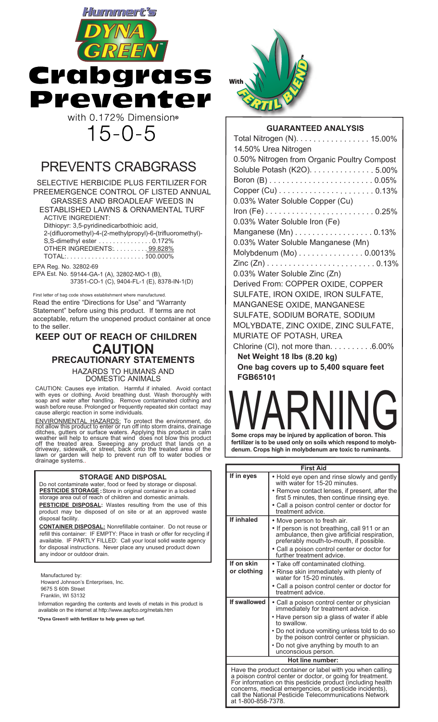

# PREVENTS CRABGRASS

SELECTIVE HERBICIDE PLUS FERTILIZER FOR PREEMERGENCE CONTROL OF LISTED ANNUAL GRASSES AND BROADLEAF WEEDS IN ESTABLISHED LAWNS & ORNAMENTAL TURF ACTIVE INGREDIENT: Dithiopyr: 3,5-pyridinedicarbothioic acid, 2-(difluoromethyl)-4-(2-methylpropyl)-6-(trifluoromethyl)- S,S-dimethyl ester ..................0.172% OTHER INGREDIENTS: . . . . . . . . . 99.828% TOTAL:...................... 100.000% .

EPA Reg. No. 32802-69

EPA Est. No. 59144-GA-1 (A), 32802-MO-1 (B), 37351-CO-1 (C), 9404-FL-1 (E), 8378-IN-1(D)

First letter of bag code shows establishment where manufactured. Read the entire "Directions for Use" and "Warranty Statement" before using this product. If terms are not acceptable, return the unopened product container at once to the seller.

# **KEEP OUT OF REACH OF CHILDREN CAUTION PRECAUTIONARY STATEMENTS**

HAZARDS TO HUMANS AND DOMESTIC ANIMALS

CAUTION: Causes eye irritation. Harmful if inhaled. Avoid contact with eyes or clothing. Avoid breathing dust. Wash thoroughly with soap and water after handling. Remove contaminated clothing and wash before reuse. Prolonged or frequently repeated skin contact may cause allergic reaction in some individuals.

ENVIRONMENTAL HAZARDS: To protect the environment, do not allow this product to enter or run off into storm drains, drainage ditches, gutters or surface waters. Applying this product in calm<br>weather will help to ensure that wind does not blow this product<br>off the treated area. Sweeping any product that lands on a<br>driveway, sidewalk, or street, b

### **STORAGE AND DISPOSAL**

Do not contaminate water, food or feed by storage or disposal. **PESTICIDE STORAGE :**Store in original container in a locked storage area out of reach of children and domestic animals. **PESTICIDE DISPOSAL:** Wastes resulting from the use of this

product may be disposed of on site or at an approved waste disposal facility. **CONTAINER DISPOSAL:** Nonrefillable container. Do not reuse or

refill this container: IF EMPTY: Place in trash or offer for recycling if available. IF PARTLY FILLED: Call your local solid waste agency for disposal instructions. Never place any unused product down any indoor or outdoor drain.

Manufactured by:

Howard Johnson's Enterprises, Inc. 9675 S 60th Street Franklin, WI 53132

Information regarding the contents and levels of metals in this product is available on the internet at http://www.aapfco.org/metals.htm

**\*Dyna Green® with fertilizer to help green up turf.**



## **GUARANTEED ANALYSIS**

| Total Nitrogen (N). 15.00%                  |
|---------------------------------------------|
| 14.50% Urea Nitrogen                        |
| 0.50% Nitrogen from Organic Poultry Compost |
| Soluble Potash (K2O). 5.00%                 |
|                                             |
|                                             |
| 0.03% Water Soluble Copper (Cu)             |
|                                             |
| 0.03% Water Soluble Iron (Fe)               |
| Manganese $(Mn)$ 0.13%                      |
| 0.03% Water Soluble Manganese (Mn)          |
| Molybdenum $(Mo)$ 0.0013%                   |
|                                             |
| 0.03% Water Soluble Zinc (Zn)               |
| Derived From: COPPER OXIDE, COPPER          |
| SULFATE, IRON OXIDE, IRON SULFATE,          |
| MANGANESE OXIDE, MANGANESE                  |
| SULFATE, SODIUM BORATE, SODIUM              |
| MOLYBDATE, ZINC OXIDE, ZINC SULFATE,        |
| MURIATE OF POTASH, UREA                     |
| Chlorine (CI), not more than. 6.00%         |
| Net Weight 18 lbs (8.20 kg)                 |
| One bag covers up to 5,400 square feet      |
| FGB65101                                    |

**Some crops may be injured by application of boron. This** 

**fertilizer is to be used only on soils which respond to molybdenum. Crops high in molybdenum are toxic to ruminants.**

| <b>First Aid</b>                                                                                                        |                                                                                                                                         |  |  |  |  |  |  |  |
|-------------------------------------------------------------------------------------------------------------------------|-----------------------------------------------------------------------------------------------------------------------------------------|--|--|--|--|--|--|--|
| If in eyes                                                                                                              | • Hold eye open and rinse slowly and gently<br>with water for 15-20 minutes.                                                            |  |  |  |  |  |  |  |
|                                                                                                                         | • Remove contact lenses, if present, after the<br>first 5 minutes, then continue rinsing eye.                                           |  |  |  |  |  |  |  |
|                                                                                                                         | • Call a poison control center or doctor for<br>treatment advice.                                                                       |  |  |  |  |  |  |  |
| If inhaled                                                                                                              | • Move person to fresh air.                                                                                                             |  |  |  |  |  |  |  |
|                                                                                                                         | • If person is not breathing, call 911 or an<br>ambulance, then give artificial respiration,<br>preferably mouth-to-mouth, if possible. |  |  |  |  |  |  |  |
|                                                                                                                         | • Call a poison control center or doctor for<br>further treatment advice.                                                               |  |  |  |  |  |  |  |
| If on skin                                                                                                              | • Take off contaminated clothing.                                                                                                       |  |  |  |  |  |  |  |
| or clothing                                                                                                             | • Rinse skin immediately with plenty of<br>water for 15-20 minutes.                                                                     |  |  |  |  |  |  |  |
|                                                                                                                         | • Call a poison control center or doctor for<br>treatment advice.                                                                       |  |  |  |  |  |  |  |
| If swallowed                                                                                                            | • Call a poison control center or physician<br>immediately for treatment advice.                                                        |  |  |  |  |  |  |  |
|                                                                                                                         | • Have person sip a glass of water if able<br>to swallow.                                                                               |  |  |  |  |  |  |  |
|                                                                                                                         | • Do not induce vomiting unless told to do so<br>by the poison control center or physician.                                             |  |  |  |  |  |  |  |
|                                                                                                                         | • Do not give anything by mouth to an<br>unconscious person.                                                                            |  |  |  |  |  |  |  |
| Hot line number:                                                                                                        |                                                                                                                                         |  |  |  |  |  |  |  |
| Have the product container or label with you when calling<br>a poison control center or doctor, or going for treatment. |                                                                                                                                         |  |  |  |  |  |  |  |

or information on this pesticide product (including health concerns, medical emergencies, or pesticide incidents), call the National Pesticide Telecommunications Network at 1-800-858-7378.